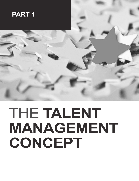

# THE **TALENT MANAGEMENT CONCEPT**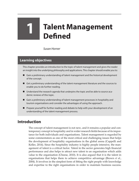# **1 Talent Management Defined**

*Susan Horner*

## **Learning objectives**

This chapter provides an introduction to the topic of talent management and gives the reader an insight into the underlying philosophy and applications. This chapter should enable you to:

- Gain a preliminary understanding of talent management and the historical development of the concept.
- Get a preliminary understanding of the talent management literature and the sources to enable you to do further reading.
- Understand the research agenda that underpins the topic and be able to source academic reviews of this topic.
- Gain a preliminary understanding of talent management processes in hospitality and tourism organisations and consider the advantages of using the approach.
- Prepare yourself for further reading and debate to help with your development of an understanding of the talent management process.

# **Introduction**

The concept of talent management is not new, and it remains a popular and contemporary concept in hospitality and in wider research fields because of its importance for both individuals and organisations. Talent management is regarded by some commentators as one of the most critical and challenging issues that helps the development of hospitality organisations in the global arena (Cappelli and Keller, 2014). Since the hospitality industry is highly people intensive, the management of talent is a critical factor. Talent in the sector generates high financial performance and also helps to attract new talent to an organisation which adds value to the organisation (Cheese, 2010). It is also argued that it is the talent in organisations that helps them to achieve competitive advantage (Brown *et al.*, 2004). It involves in the simplest form of fitting the right people with knowledge and expertise to the right organisations in order to maintain business success.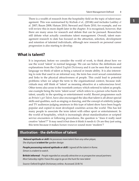There is a wealth of research from the hospitality field on the topic of talent man-<br> **1** agement. This was summarised by Kichuk *et al.*, (2014b) and includes Lashley *et al.* 2007; Baum 2008; Hatum 2010; Steward and Harte 2010, for example, and we will review this in more depth later in the chapter. It is recognised, however, that there are many areas for research and debate that can be pursued. Researchers still debate what actually constitutes talent management. Overall, talent management research to date has focused on the attraction, selection, development and retention of talented individuals, although new research on personal career progression is also starting to develop.

#### **What is talent?**

It is important, before we consider the world of work, to think about how we use the word 'talent' in normal language. We can see below the definitions and explanations from the *Oxford English Dictionary* and it can be seen that in normal language we think of talent as being a natural or innate ability. It is also interesting to note that used in an informal way, the term has overt sexual connotations and links to the physical attractiveness of people. This could lead to potential problems when we adapt the term to the organisational context, because individuals may still think of 'talent' as meaning attractive at a subconscious level. Other terms also arose in the twentieth century which referred to talent as people, one example being the term 'talent scout' which refers to a person who hunts for talent, usually in the sporting or entertainment world. Recent programmes such as *Britain's got Talent*, have also encouraged the idea that talent is all about special skills and qualities, such as singing or dancing, and the concept of celebrity judges and TV audiences judging amateurs in this type of talent show have been hugely popular and copied in most developed countries across the world. This has led many people to associate the term talent with either sport or entertainment. In the world of hospitality, which is increasingly about standardisation or scripted service encounters or following procedures, the question is "does it really need creative 'talent'?" It may need it but does it think it needs it. Or are they just using this term because it makes *human resources* sound more 'modern'?

#### **Illustration - the definition of talent**

*Natural aptitude or skill: He possesses more talent than any other player, She displayed a talent for* garden design

*People possessing natural aptitude or skill: I signed all the talent in Rome. Simon is a talent to watch.*

**British informal** - *People regarded as sexually attractive or as prospective sexual partners: Most Saturday nights I have this urge to go on the hunt for new talent*

*Source:* Oxford English Dictionary online. Accessed 23/8/16